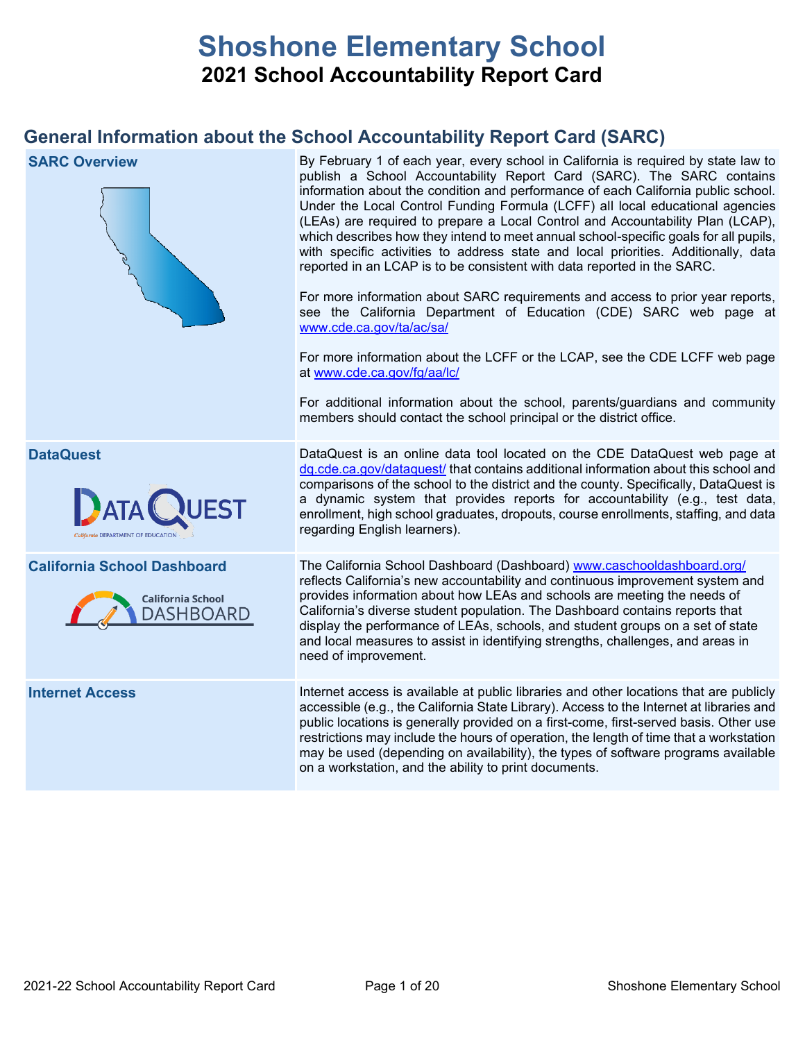# **Shoshone Elementary School 2021 School Accountability Report Card**

## **General Information about the School Accountability Report Card (SARC)**

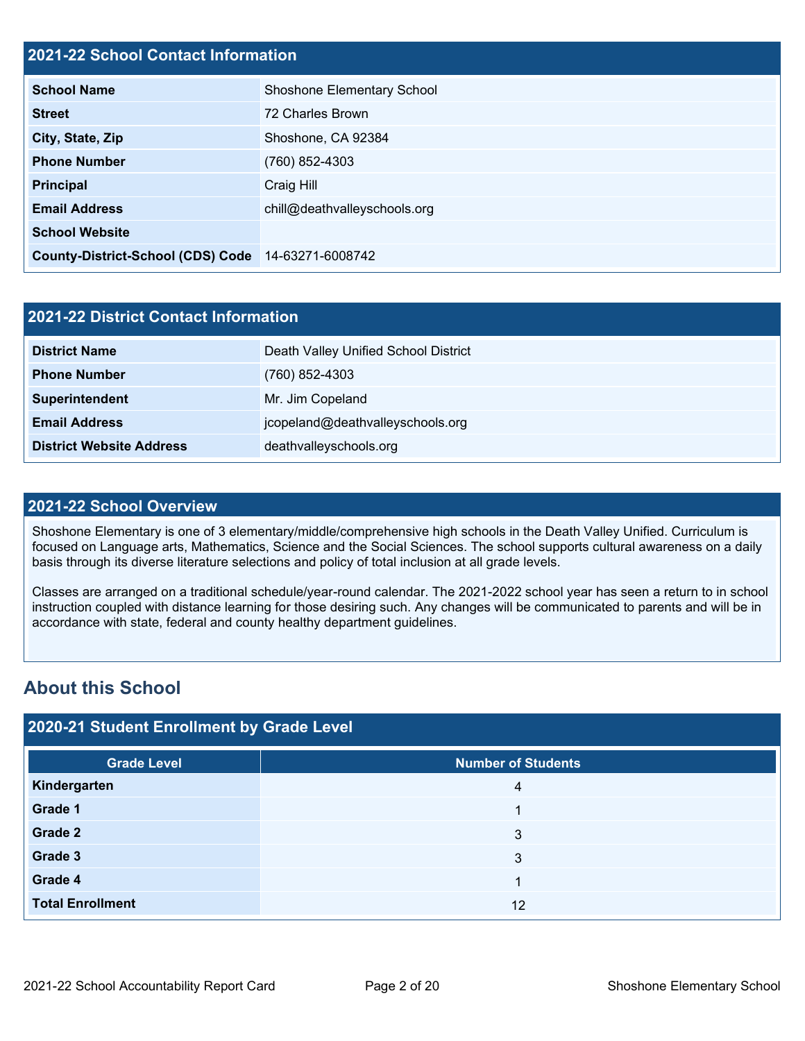## **2021-22 School Contact Information**

| EVET EE GUNGU GUNGUL INIGITIGGUN         |                              |  |  |  |
|------------------------------------------|------------------------------|--|--|--|
| <b>School Name</b>                       | Shoshone Elementary School   |  |  |  |
| <b>Street</b>                            | 72 Charles Brown             |  |  |  |
| City, State, Zip                         | Shoshone, CA 92384           |  |  |  |
| <b>Phone Number</b>                      | (760) 852-4303               |  |  |  |
| <b>Principal</b>                         | Craig Hill                   |  |  |  |
| <b>Email Address</b>                     | chill@deathvalleyschools.org |  |  |  |
| <b>School Website</b>                    |                              |  |  |  |
| <b>County-District-School (CDS) Code</b> | 14-63271-6008742             |  |  |  |

| 2021-22 District Contact Information |                                      |  |  |
|--------------------------------------|--------------------------------------|--|--|
| <b>District Name</b>                 | Death Valley Unified School District |  |  |
| <b>Phone Number</b>                  | $(760)$ 852-4303                     |  |  |
| Superintendent                       | Mr. Jim Copeland                     |  |  |
| <b>Email Address</b>                 | jcopeland@deathvalleyschools.org     |  |  |
| <b>District Website Address</b>      | deathvalleyschools.org               |  |  |

## **2021-22 School Overview**

Shoshone Elementary is one of 3 elementary/middle/comprehensive high schools in the Death Valley Unified. Curriculum is focused on Language arts, Mathematics, Science and the Social Sciences. The school supports cultural awareness on a daily basis through its diverse literature selections and policy of total inclusion at all grade levels.

Classes are arranged on a traditional schedule/year-round calendar. The 2021-2022 school year has seen a return to in school instruction coupled with distance learning for those desiring such. Any changes will be communicated to parents and will be in accordance with state, federal and county healthy department guidelines.

## **About this School**

## **2020-21 Student Enrollment by Grade Level**

| <b>Grade Level</b>      | Number of Students |
|-------------------------|--------------------|
| Kindergarten            | 4                  |
| Grade 1                 |                    |
| Grade 2                 | 3                  |
| Grade 3                 | 3                  |
| Grade 4                 |                    |
| <b>Total Enrollment</b> | 12                 |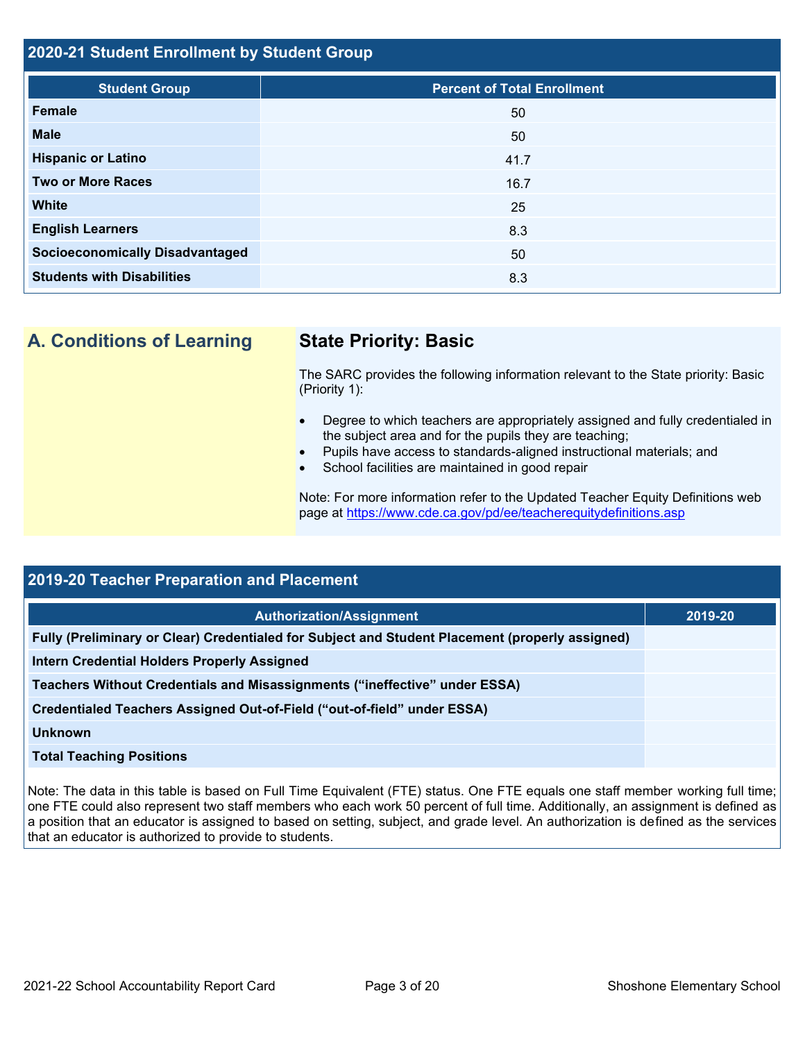## **2020-21 Student Enrollment by Student Group**

| <b>Student Group</b>                   | <b>Percent of Total Enrollment</b> |
|----------------------------------------|------------------------------------|
| <b>Female</b>                          | 50                                 |
| <b>Male</b>                            | 50                                 |
| <b>Hispanic or Latino</b>              | 41.7                               |
| <b>Two or More Races</b>               | 16.7                               |
| <b>White</b>                           | 25                                 |
| <b>English Learners</b>                | 8.3                                |
| <b>Socioeconomically Disadvantaged</b> | 50                                 |
| <b>Students with Disabilities</b>      | 8.3                                |

**A. Conditions of Learning State Priority: Basic**

The SARC provides the following information relevant to the State priority: Basic (Priority 1):

- Degree to which teachers are appropriately assigned and fully credentialed in the subject area and for the pupils they are teaching;
- Pupils have access to standards-aligned instructional materials; and
- School facilities are maintained in good repair

Note: For more information refer to the Updated Teacher Equity Definitions web page at<https://www.cde.ca.gov/pd/ee/teacherequitydefinitions.asp>

| 2019-20 Teacher Preparation and Placement                                                       |         |  |  |  |
|-------------------------------------------------------------------------------------------------|---------|--|--|--|
| <b>Authorization/Assignment</b>                                                                 | 2019-20 |  |  |  |
| Fully (Preliminary or Clear) Credentialed for Subject and Student Placement (properly assigned) |         |  |  |  |
| <b>Intern Credential Holders Properly Assigned</b>                                              |         |  |  |  |
| Teachers Without Credentials and Misassignments ("ineffective" under ESSA)                      |         |  |  |  |
| Credentialed Teachers Assigned Out-of-Field ("out-of-field" under ESSA)                         |         |  |  |  |
| <b>Unknown</b>                                                                                  |         |  |  |  |
| <b>Total Teaching Positions</b>                                                                 |         |  |  |  |

Note: The data in this table is based on Full Time Equivalent (FTE) status. One FTE equals one staff member working full time; one FTE could also represent two staff members who each work 50 percent of full time. Additionally, an assignment is defined as a position that an educator is assigned to based on setting, subject, and grade level. An authorization is defined as the services that an educator is authorized to provide to students.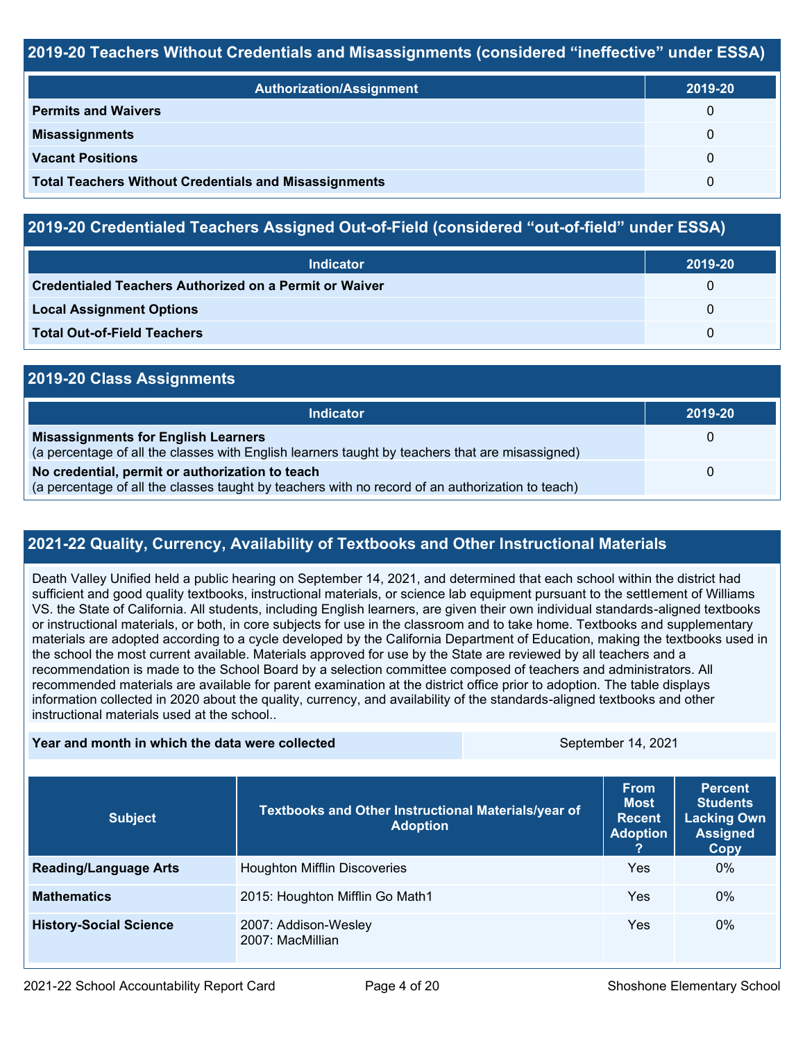## **2019-20 Teachers Without Credentials and Misassignments (considered "ineffective" under ESSA)**

| <b>Authorization/Assignment</b>                              | 2019-20 |
|--------------------------------------------------------------|---------|
| <b>Permits and Waivers</b>                                   | 0       |
| <b>Misassignments</b>                                        | 0       |
| <b>Vacant Positions</b>                                      | 0       |
| <b>Total Teachers Without Credentials and Misassignments</b> | 0       |

## **2019-20 Credentialed Teachers Assigned Out-of-Field (considered "out-of-field" under ESSA)**

| <b>Indicator</b>                                       | 2019-20 |
|--------------------------------------------------------|---------|
| Credentialed Teachers Authorized on a Permit or Waiver |         |
| <b>Local Assignment Options</b>                        |         |
| <b>Total Out-of-Field Teachers</b>                     |         |

## **2019-20 Class Assignments**

| <b>Indicator</b>                                                                                                                                    | 2019-20 |
|-----------------------------------------------------------------------------------------------------------------------------------------------------|---------|
| <b>Misassignments for English Learners</b><br>(a percentage of all the classes with English learners taught by teachers that are misassigned)       |         |
| No credential, permit or authorization to teach<br>(a percentage of all the classes taught by teachers with no record of an authorization to teach) |         |

## **2021-22 Quality, Currency, Availability of Textbooks and Other Instructional Materials**

Death Valley Unified held a public hearing on September 14, 2021, and determined that each school within the district had sufficient and good quality textbooks, instructional materials, or science lab equipment pursuant to the settlement of Williams VS. the State of California. All students, including English learners, are given their own individual standards-aligned textbooks or instructional materials, or both, in core subjects for use in the classroom and to take home. Textbooks and supplementary materials are adopted according to a cycle developed by the California Department of Education, making the textbooks used in the school the most current available. Materials approved for use by the State are reviewed by all teachers and a recommendation is made to the School Board by a selection committee composed of teachers and administrators. All recommended materials are available for parent examination at the district office prior to adoption. The table displays information collected in 2020 about the quality, currency, and availability of the standards-aligned textbooks and other instructional materials used at the school..

#### **Year and month in which the data were collected September 14, 2021** September 14, 2021

| <b>Subject</b>                | Textbooks and Other Instructional Materials/year of<br><b>Adoption</b> | <b>From</b><br><b>Most</b><br><b>Recent</b><br><b>Adoption</b> | <b>Percent</b><br><b>Students</b><br><b>Lacking Own</b><br><b>Assigned</b><br>Copy |
|-------------------------------|------------------------------------------------------------------------|----------------------------------------------------------------|------------------------------------------------------------------------------------|
| <b>Reading/Language Arts</b>  | <b>Houghton Mifflin Discoveries</b>                                    | Yes                                                            | $0\%$                                                                              |
| <b>Mathematics</b>            | 2015: Houghton Mifflin Go Math1                                        | Yes                                                            | $0\%$                                                                              |
| <b>History-Social Science</b> | 2007: Addison-Wesley<br>2007: MacMillian                               | Yes                                                            | $0\%$                                                                              |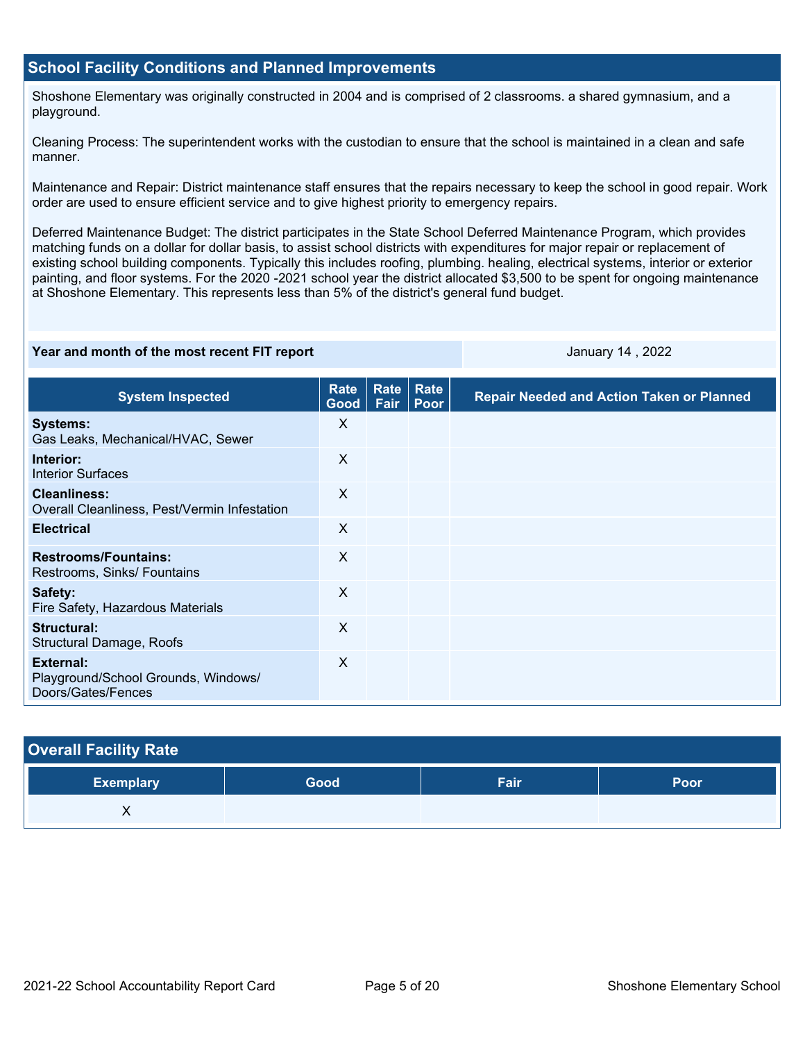## **School Facility Conditions and Planned Improvements**

Shoshone Elementary was originally constructed in 2004 and is comprised of 2 classrooms. a shared gymnasium, and a playground.

Cleaning Process: The superintendent works with the custodian to ensure that the school is maintained in a clean and safe manner.

Maintenance and Repair: District maintenance staff ensures that the repairs necessary to keep the school in good repair. Work order are used to ensure efficient service and to give highest priority to emergency repairs.

Deferred Maintenance Budget: The district participates in the State School Deferred Maintenance Program, which provides matching funds on a dollar for dollar basis, to assist school districts with expenditures for major repair or replacement of existing school building components. Typically this includes roofing, plumbing. healing, electrical systems, interior or exterior painting, and floor systems. For the 2020 -2021 school year the district allocated \$3,500 to be spent for ongoing maintenance at Shoshone Elementary. This represents less than 5% of the district's general fund budget.

#### **Year and month of the most recent FIT report** And Allen Manuary 14, 2022 **January 14**, 2022

| <b>System Inspected</b>                                                       | <b>Rate</b><br>Good | Rate<br>Fair | Rate<br>Poor | <b>Repair Needed and Action Taken or Planned</b> |
|-------------------------------------------------------------------------------|---------------------|--------------|--------------|--------------------------------------------------|
| <b>Systems:</b><br>Gas Leaks, Mechanical/HVAC, Sewer                          | X                   |              |              |                                                  |
| Interior:<br><b>Interior Surfaces</b>                                         | X                   |              |              |                                                  |
| <b>Cleanliness:</b><br>Overall Cleanliness, Pest/Vermin Infestation           | X                   |              |              |                                                  |
| <b>Electrical</b>                                                             | $\times$            |              |              |                                                  |
| <b>Restrooms/Fountains:</b><br>Restrooms, Sinks/ Fountains                    | $\sf X$             |              |              |                                                  |
| Safety:<br>Fire Safety, Hazardous Materials                                   | X                   |              |              |                                                  |
| Structural:<br>Structural Damage, Roofs                                       | $\times$            |              |              |                                                  |
| <b>External:</b><br>Playground/School Grounds, Windows/<br>Doors/Gates/Fences | X                   |              |              |                                                  |

| <b>Overall Facility Rate</b> |      |      |      |  |  |  |
|------------------------------|------|------|------|--|--|--|
| ∣ Exemplary <sup>∖</sup>     | Good | Fair | Poor |  |  |  |
| v<br>∧                       |      |      |      |  |  |  |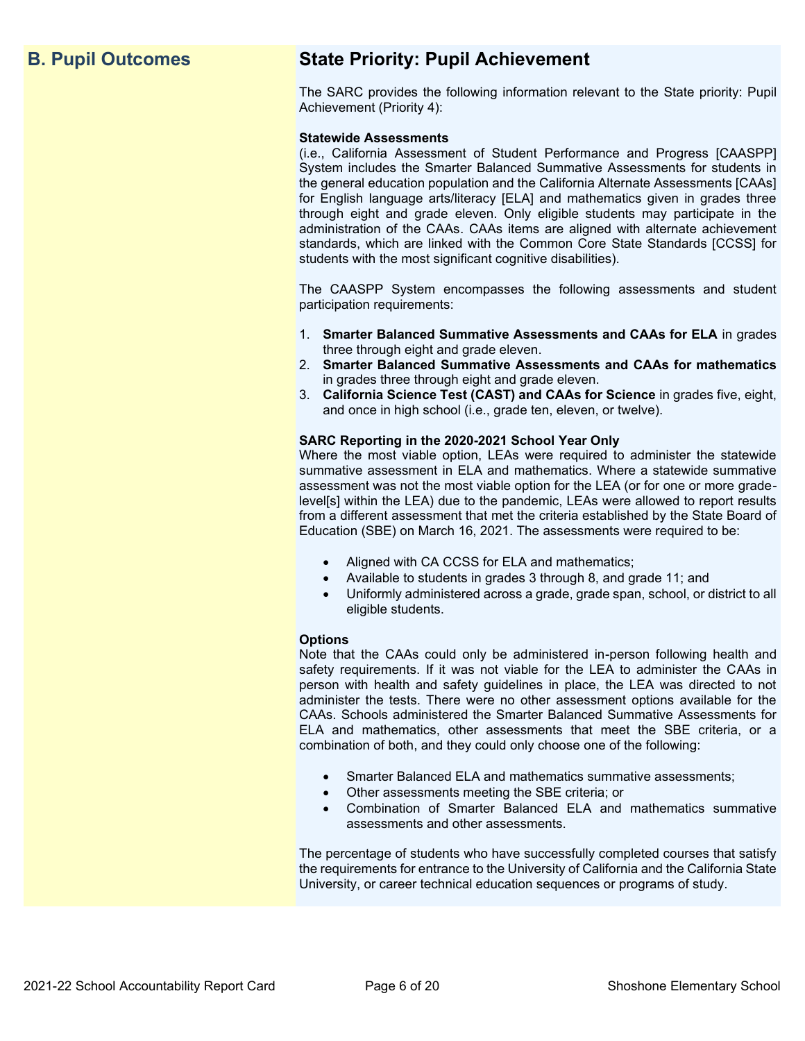## **B. Pupil Outcomes State Priority: Pupil Achievement**

The SARC provides the following information relevant to the State priority: Pupil Achievement (Priority 4):

#### **Statewide Assessments**

(i.e., California Assessment of Student Performance and Progress [CAASPP] System includes the Smarter Balanced Summative Assessments for students in the general education population and the California Alternate Assessments [CAAs] for English language arts/literacy [ELA] and mathematics given in grades three through eight and grade eleven. Only eligible students may participate in the administration of the CAAs. CAAs items are aligned with alternate achievement standards, which are linked with the Common Core State Standards [CCSS] for students with the most significant cognitive disabilities).

The CAASPP System encompasses the following assessments and student participation requirements:

- 1. **Smarter Balanced Summative Assessments and CAAs for ELA** in grades three through eight and grade eleven.
- 2. **Smarter Balanced Summative Assessments and CAAs for mathematics** in grades three through eight and grade eleven.
- 3. **California Science Test (CAST) and CAAs for Science** in grades five, eight, and once in high school (i.e., grade ten, eleven, or twelve).

#### **SARC Reporting in the 2020-2021 School Year Only**

Where the most viable option, LEAs were required to administer the statewide summative assessment in ELA and mathematics. Where a statewide summative assessment was not the most viable option for the LEA (or for one or more gradelevel[s] within the LEA) due to the pandemic, LEAs were allowed to report results from a different assessment that met the criteria established by the State Board of Education (SBE) on March 16, 2021. The assessments were required to be:

- Aligned with CA CCSS for ELA and mathematics;
- Available to students in grades 3 through 8, and grade 11; and
- Uniformly administered across a grade, grade span, school, or district to all eligible students.

#### **Options**

Note that the CAAs could only be administered in-person following health and safety requirements. If it was not viable for the LEA to administer the CAAs in person with health and safety guidelines in place, the LEA was directed to not administer the tests. There were no other assessment options available for the CAAs. Schools administered the Smarter Balanced Summative Assessments for ELA and mathematics, other assessments that meet the SBE criteria, or a combination of both, and they could only choose one of the following:

- Smarter Balanced ELA and mathematics summative assessments;
- Other assessments meeting the SBE criteria; or
- Combination of Smarter Balanced ELA and mathematics summative assessments and other assessments.

The percentage of students who have successfully completed courses that satisfy the requirements for entrance to the University of California and the California State University, or career technical education sequences or programs of study.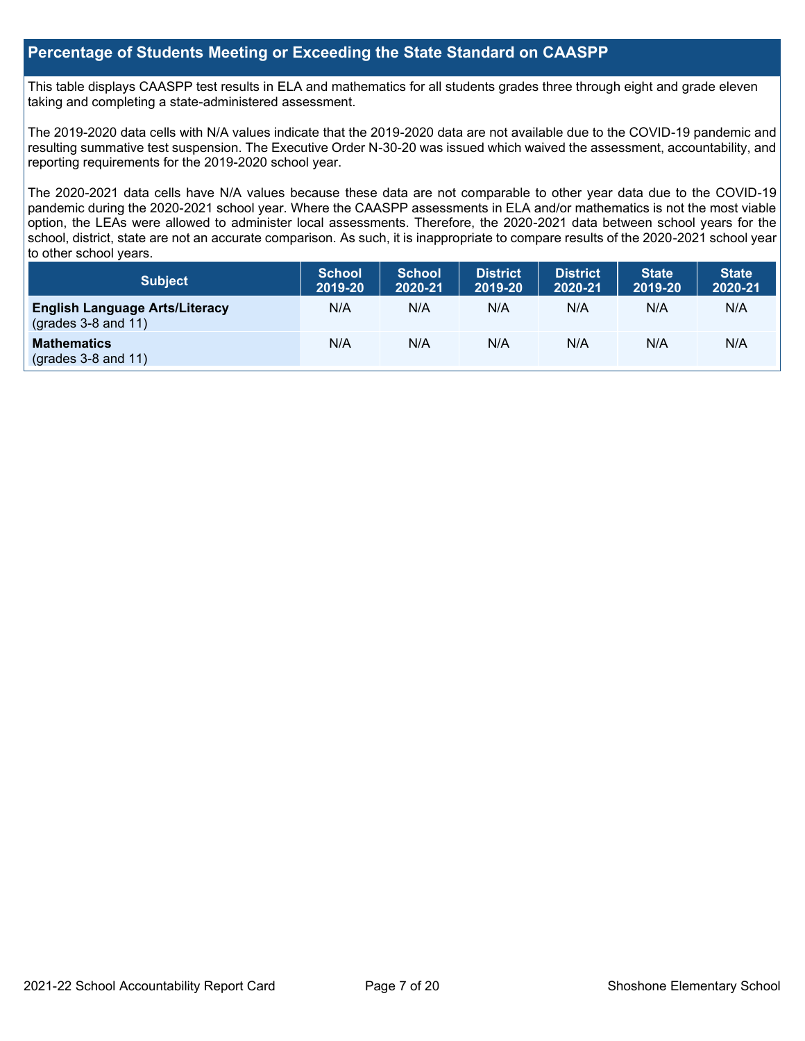## **Percentage of Students Meeting or Exceeding the State Standard on CAASPP**

This table displays CAASPP test results in ELA and mathematics for all students grades three through eight and grade eleven taking and completing a state-administered assessment.

The 2019-2020 data cells with N/A values indicate that the 2019-2020 data are not available due to the COVID-19 pandemic and resulting summative test suspension. The Executive Order N-30-20 was issued which waived the assessment, accountability, and reporting requirements for the 2019-2020 school year.

The 2020-2021 data cells have N/A values because these data are not comparable to other year data due to the COVID-19 pandemic during the 2020-2021 school year. Where the CAASPP assessments in ELA and/or mathematics is not the most viable option, the LEAs were allowed to administer local assessments. Therefore, the 2020-2021 data between school years for the school, district, state are not an accurate comparison. As such, it is inappropriate to compare results of the 2020-2021 school year to other school years.

| Subject                                                              | <b>School</b><br>2019-20 | <b>School</b><br>2020-21 | <b>District</b><br>2019-20 | <b>District</b><br>2020-21 | <b>State</b><br>2019-20 | <b>State</b><br>2020-21 |
|----------------------------------------------------------------------|--------------------------|--------------------------|----------------------------|----------------------------|-------------------------|-------------------------|
| <b>English Language Arts/Literacy</b><br>$\left($ grades 3-8 and 11) | N/A                      | N/A                      | N/A                        | N/A                        | N/A                     | N/A                     |
| <b>Mathematics</b><br>$(grades 3-8 and 11)$                          | N/A                      | N/A                      | N/A                        | N/A                        | N/A                     | N/A                     |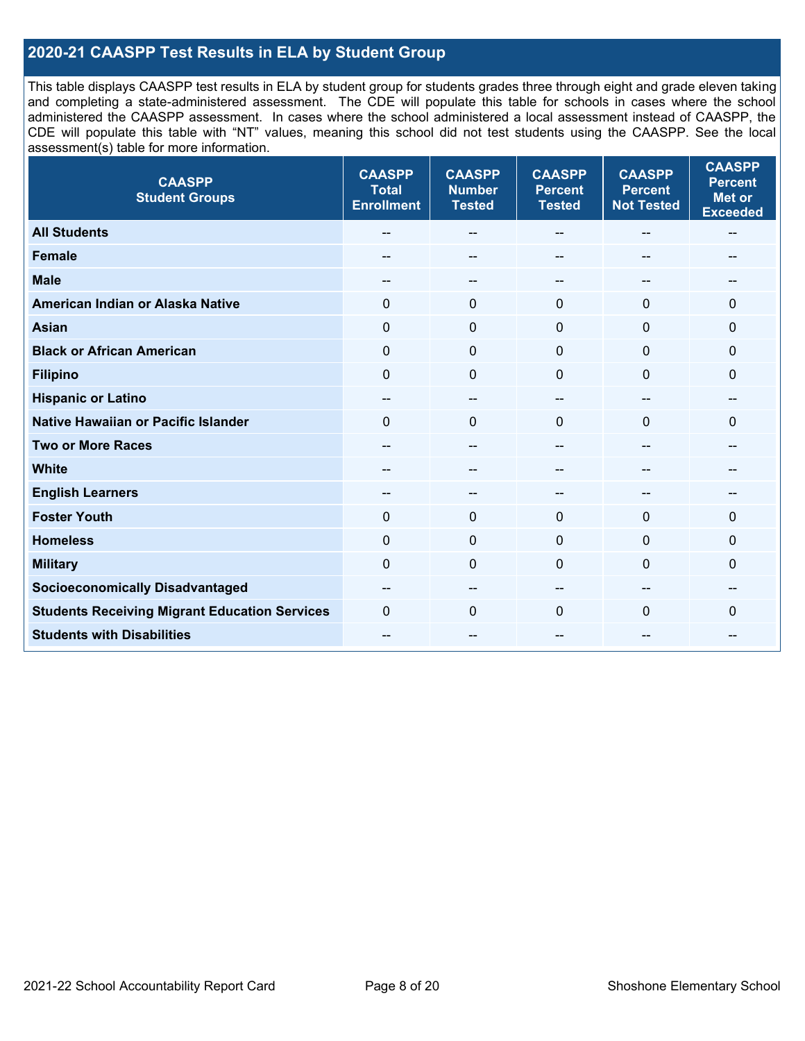## **2020-21 CAASPP Test Results in ELA by Student Group**

This table displays CAASPP test results in ELA by student group for students grades three through eight and grade eleven taking and completing a state-administered assessment. The CDE will populate this table for schools in cases where the school administered the CAASPP assessment. In cases where the school administered a local assessment instead of CAASPP, the CDE will populate this table with "NT" values, meaning this school did not test students using the CAASPP. See the local assessment(s) table for more information.

| <b>CAASPP</b><br><b>Student Groups</b>               | <b>CAASPP</b><br><b>Total</b><br><b>Enrollment</b> | <b>CAASPP</b><br><b>Number</b><br><b>Tested</b> | <b>CAASPP</b><br><b>Percent</b><br><b>Tested</b> | <b>CAASPP</b><br><b>Percent</b><br><b>Not Tested</b> | <b>CAASPP</b><br><b>Percent</b><br><b>Met or</b><br><b>Exceeded</b> |
|------------------------------------------------------|----------------------------------------------------|-------------------------------------------------|--------------------------------------------------|------------------------------------------------------|---------------------------------------------------------------------|
| <b>All Students</b>                                  | --                                                 | $\sim$                                          | --                                               | --                                                   | $-$                                                                 |
| <b>Female</b>                                        |                                                    | --                                              |                                                  | --                                                   | --                                                                  |
| <b>Male</b>                                          | $\qquad \qquad -$                                  | $\sim$                                          | --                                               | --                                                   | --                                                                  |
| American Indian or Alaska Native                     | 0                                                  | $\mathbf 0$                                     | $\mathbf 0$                                      | 0                                                    | 0                                                                   |
| <b>Asian</b>                                         | $\mathbf 0$                                        | $\mathbf 0$                                     | $\mathbf{0}$                                     | $\Omega$                                             | $\Omega$                                                            |
| <b>Black or African American</b>                     | $\mathbf 0$                                        | $\mathbf 0$                                     | $\Omega$                                         | $\Omega$                                             | 0                                                                   |
| <b>Filipino</b>                                      | $\mathbf 0$                                        | $\mathbf 0$                                     | $\Omega$                                         | $\mathbf 0$                                          | 0                                                                   |
| <b>Hispanic or Latino</b>                            | $\qquad \qquad -$                                  | $\mathbf{u}$                                    | --                                               | --                                                   | --                                                                  |
| <b>Native Hawaiian or Pacific Islander</b>           | $\mathbf 0$                                        | $\mathbf 0$                                     | $\mathbf{0}$                                     | $\overline{0}$                                       | $\mathbf{0}$                                                        |
| <b>Two or More Races</b>                             | --                                                 | $\overline{\phantom{a}}$                        | --                                               | $\overline{\phantom{a}}$                             | --                                                                  |
| <b>White</b>                                         |                                                    | --                                              | --                                               | --                                                   |                                                                     |
| <b>English Learners</b>                              |                                                    | --                                              |                                                  |                                                      |                                                                     |
| <b>Foster Youth</b>                                  | 0                                                  | $\mathbf 0$                                     | $\mathbf 0$                                      | $\mathbf{0}$                                         | 0                                                                   |
| <b>Homeless</b>                                      | $\mathbf 0$                                        | $\pmb{0}$                                       | $\mathbf{0}$                                     | $\mathbf 0$                                          | 0                                                                   |
| <b>Military</b>                                      | 0                                                  | $\pmb{0}$                                       | $\Omega$                                         | $\mathbf{0}$                                         | 0                                                                   |
| <b>Socioeconomically Disadvantaged</b>               | $- -$                                              | --                                              |                                                  | --                                                   |                                                                     |
| <b>Students Receiving Migrant Education Services</b> | $\Omega$                                           | $\mathbf 0$                                     | $\Omega$                                         | $\Omega$                                             | 0                                                                   |
| <b>Students with Disabilities</b>                    | --                                                 | $\sim$                                          | --                                               | --                                                   | --                                                                  |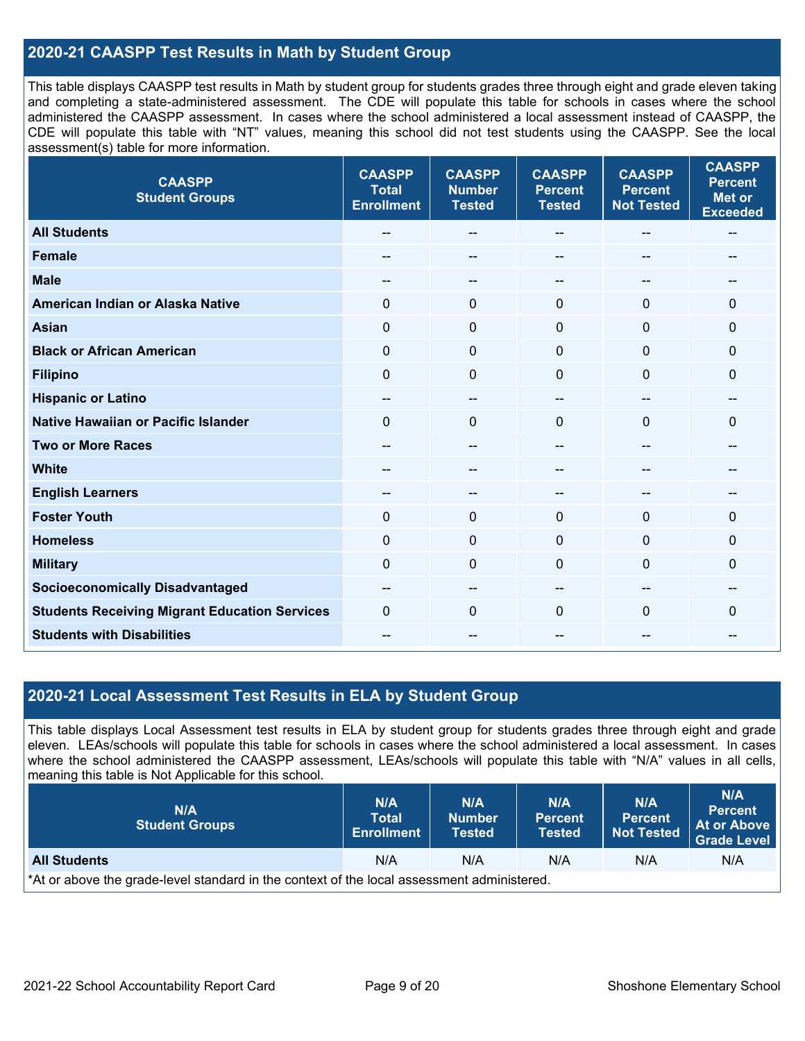## **2020-21 CAASPP Test Results in Math by Student Group**

This table displays CAASPP test results in Math by student group for students grades three through eight and grade eleven taking and completing a state-administered assessment. The CDE will populate this table for schools in cases where the school administered the CAASPP assessment. In cases where the school administered a local assessment instead of CAASPP, the CDE will populate this table with "NT" values, meaning this school did not test students using the CAASPP. See the local assessment(s) table for more information.

| <b>CAASPP</b><br><b>Student Groups</b>               | <b>CAASPP</b><br><b>Total</b><br><b>Enrollment</b> | <b>CAASPP</b><br><b>Number</b><br><b>Tested</b> | <b>CAASPP</b><br><b>Percent</b><br><b>Tested</b> | <b>CAASPP</b><br><b>Percent</b><br><b>Not Tested</b> | <b>CAASPP</b><br><b>Percent</b><br><b>Met or</b><br><b>Exceeded</b> |
|------------------------------------------------------|----------------------------------------------------|-------------------------------------------------|--------------------------------------------------|------------------------------------------------------|---------------------------------------------------------------------|
| <b>All Students</b>                                  | $- -$                                              | $\overline{\phantom{m}}$                        | --                                               | $\sim$                                               | $\overline{\phantom{a}}$                                            |
| <b>Female</b>                                        |                                                    | --                                              |                                                  | --                                                   |                                                                     |
| <b>Male</b>                                          | --                                                 | --                                              | --                                               | --                                                   | --                                                                  |
| American Indian or Alaska Native                     | $\Omega$                                           | $\mathbf 0$                                     | $\mathbf 0$                                      | $\mathbf{0}$                                         | 0                                                                   |
| <b>Asian</b>                                         | $\mathbf 0$                                        | $\mathbf 0$                                     | $\mathbf{0}$                                     | 0                                                    | 0                                                                   |
| <b>Black or African American</b>                     | $\Omega$                                           | $\mathbf 0$                                     | $\Omega$                                         | $\Omega$                                             | $\mathbf 0$                                                         |
| <b>Filipino</b>                                      | $\mathbf 0$                                        | $\mathbf 0$                                     | $\Omega$                                         | $\Omega$                                             | $\mathbf 0$                                                         |
| <b>Hispanic or Latino</b>                            | $\qquad \qquad -$                                  | $\overline{\phantom{a}}$                        | --                                               | $-$                                                  | --                                                                  |
| <b>Native Hawaiian or Pacific Islander</b>           | $\Omega$                                           | $\mathbf 0$                                     | 0                                                | $\mathbf{0}$                                         | $\mathbf 0$                                                         |
| <b>Two or More Races</b>                             | $\overline{a}$                                     | --                                              | --                                               | --                                                   | --                                                                  |
| <b>White</b>                                         | --                                                 | --                                              | --                                               | --                                                   | --                                                                  |
| <b>English Learners</b>                              | $- -$                                              | --                                              | --                                               | --                                                   | --                                                                  |
| <b>Foster Youth</b>                                  | 0                                                  | $\mathbf 0$                                     | $\mathbf{0}$                                     | $\mathbf{0}$                                         | $\mathbf 0$                                                         |
| <b>Homeless</b>                                      | $\mathbf 0$                                        | $\pmb{0}$                                       | $\mathbf{0}$                                     | $\mathbf 0$                                          | 0                                                                   |
| <b>Military</b>                                      | $\Omega$                                           | $\pmb{0}$                                       | $\Omega$                                         | $\Omega$                                             | 0                                                                   |
| <b>Socioeconomically Disadvantaged</b>               | $\overline{a}$                                     | --                                              | --                                               | --                                                   | --                                                                  |
| <b>Students Receiving Migrant Education Services</b> | $\Omega$                                           | $\mathbf 0$                                     | $\Omega$                                         | $\Omega$                                             | 0                                                                   |
| <b>Students with Disabilities</b>                    | --                                                 | $\overline{\phantom{m}}$                        | --                                               | --                                                   | --                                                                  |

## **2020-21 Local Assessment Test Results in ELA by Student Group**

This table displays Local Assessment test results in ELA by student group for students grades three through eight and grade eleven. LEAs/schools will populate this table for schools in cases where the school administered a local assessment. In cases where the school administered the CAASPP assessment, LEAs/schools will populate this table with "N/A" values in all cells, meaning this table is Not Applicable for this school.

| N/A<br><b>Student Groups</b>                                                               | <b>N/A</b><br><b>Total</b><br><b>Enrollment</b> | N/A<br><b>Number</b><br>Tested <b>\</b> | N/A<br><b>Percent</b><br>Tested | <b>N/A</b><br>Percent<br><b>Not Tested</b> | N/A<br><b>Percent</b><br>At or Above<br><b>Grade Level</b> |  |
|--------------------------------------------------------------------------------------------|-------------------------------------------------|-----------------------------------------|---------------------------------|--------------------------------------------|------------------------------------------------------------|--|
| <b>All Students</b>                                                                        | N/A                                             | N/A                                     | N/A                             | N/A                                        | N/A                                                        |  |
| *At or above the grade-level standard in the context of the local assessment administered. |                                                 |                                         |                                 |                                            |                                                            |  |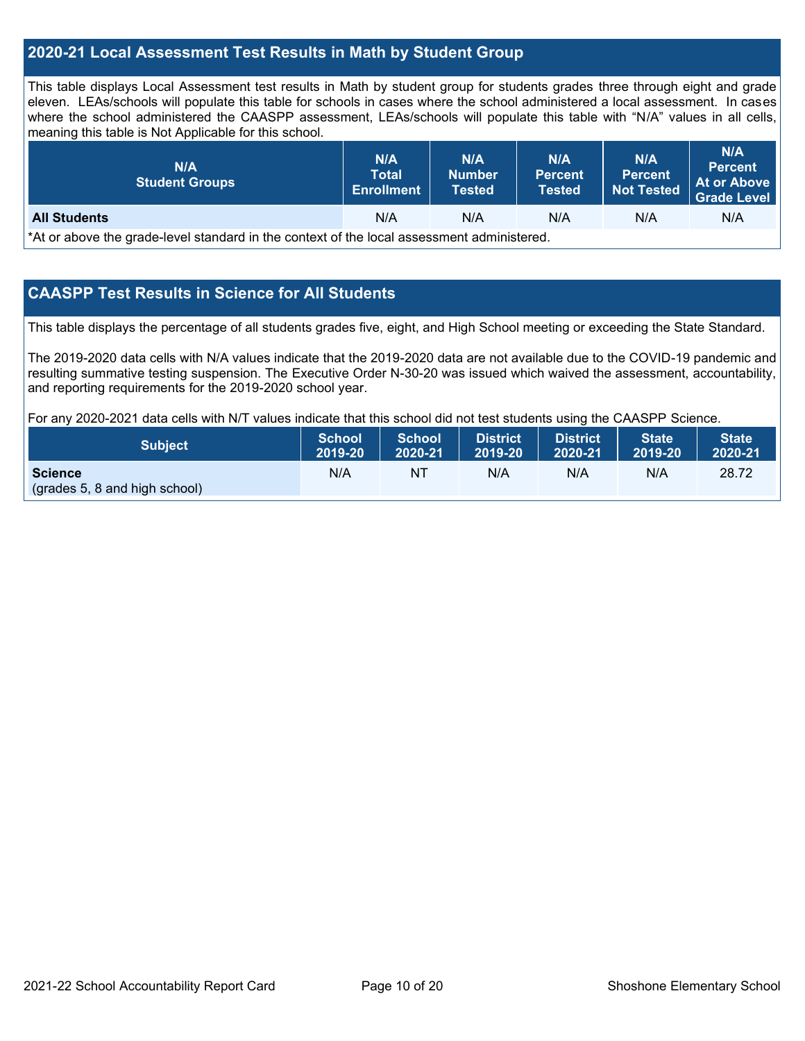## **2020-21 Local Assessment Test Results in Math by Student Group**

This table displays Local Assessment test results in Math by student group for students grades three through eight and grade eleven. LEAs/schools will populate this table for schools in cases where the school administered a local assessment. In cases where the school administered the CAASPP assessment, LEAs/schools will populate this table with "N/A" values in all cells, meaning this table is Not Applicable for this school.

| N/A<br><b>Student Groups</b>                                                               | <b>N/A</b><br><b>Total</b><br><b>Enrollment</b> | N/A<br><b>Number</b><br><b>Tested</b> | N/A<br><b>Percent</b><br><b>Tested</b> | <b>N/A</b><br><b>Percent</b><br><b>Not Tested</b> | N/A<br><b>Percent</b><br>At or Above<br><b>Grade Level</b> |  |  |
|--------------------------------------------------------------------------------------------|-------------------------------------------------|---------------------------------------|----------------------------------------|---------------------------------------------------|------------------------------------------------------------|--|--|
| N/A<br>N/A<br><b>All Students</b><br>N/A<br>N/A<br>N/A                                     |                                                 |                                       |                                        |                                                   |                                                            |  |  |
| *At or above the grade-level standard in the context of the local assessment administered. |                                                 |                                       |                                        |                                                   |                                                            |  |  |

## **CAASPP Test Results in Science for All Students**

This table displays the percentage of all students grades five, eight, and High School meeting or exceeding the State Standard.

The 2019-2020 data cells with N/A values indicate that the 2019-2020 data are not available due to the COVID-19 pandemic and resulting summative testing suspension. The Executive Order N-30-20 was issued which waived the assessment, accountability, and reporting requirements for the 2019-2020 school year.

For any 2020-2021 data cells with N/T values indicate that this school did not test students using the CAASPP Science.

| <b>Subject</b>                           | <b>School</b> | <b>School</b> | <b>District</b> | <b>District</b> | <b>State</b> | <b>State</b> |
|------------------------------------------|---------------|---------------|-----------------|-----------------|--------------|--------------|
|                                          | 2019-20       | 2020-21       | 2019-20         | 2020-21         | 2019-20      | 2020-21      |
| Science<br>(grades 5, 8 and high school) | N/A           | NT            | N/A             | N/A             | N/A          | 28.72        |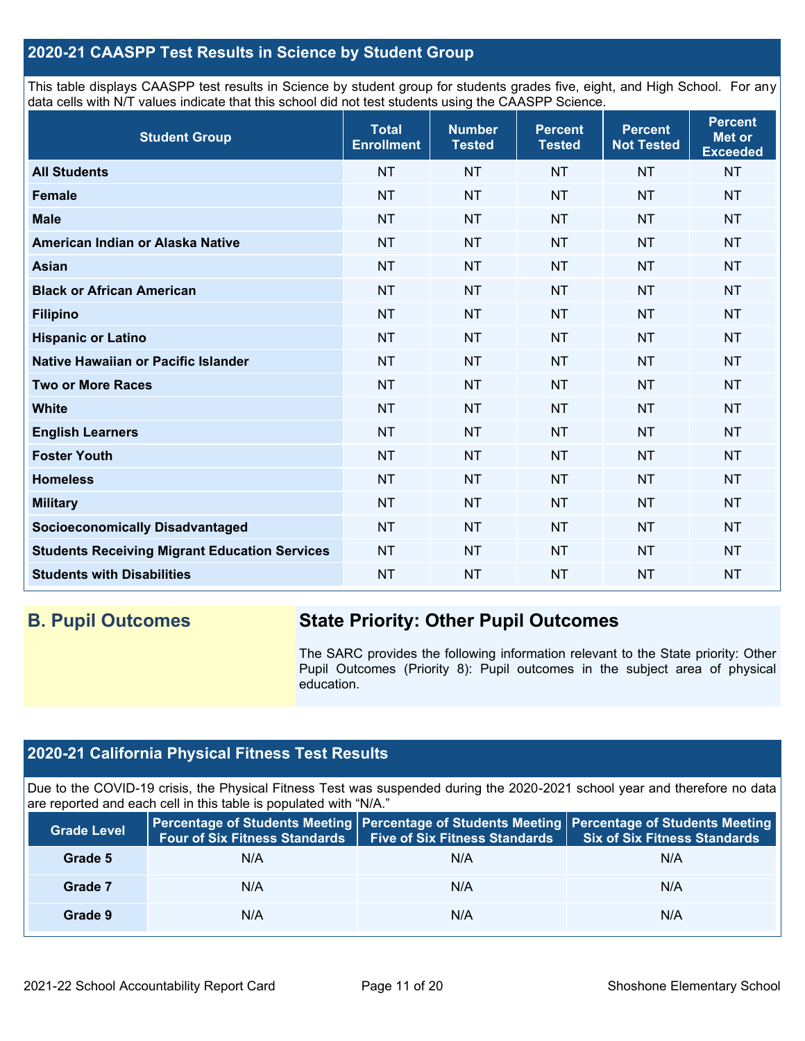## **2020-21 CAASPP Test Results in Science by Student Group**

This table displays CAASPP test results in Science by student group for students grades five, eight, and High School. For any data cells with N/T values indicate that this school did not test students using the CAASPP Science.

| <b>Student Group</b>                                 | <b>Total</b><br><b>Enrollment</b> | <b>Number</b><br><b>Tested</b> | <b>Percent</b><br><b>Tested</b> | <b>Percent</b><br><b>Not Tested</b> | <b>Percent</b><br>Met or<br><b>Exceeded</b> |
|------------------------------------------------------|-----------------------------------|--------------------------------|---------------------------------|-------------------------------------|---------------------------------------------|
| <b>All Students</b>                                  | <b>NT</b>                         | <b>NT</b>                      | <b>NT</b>                       | <b>NT</b>                           | <b>NT</b>                                   |
| <b>Female</b>                                        | <b>NT</b>                         | <b>NT</b>                      | <b>NT</b>                       | <b>NT</b>                           | <b>NT</b>                                   |
| <b>Male</b>                                          | <b>NT</b>                         | <b>NT</b>                      | <b>NT</b>                       | <b>NT</b>                           | <b>NT</b>                                   |
| American Indian or Alaska Native                     | <b>NT</b>                         | <b>NT</b>                      | <b>NT</b>                       | <b>NT</b>                           | <b>NT</b>                                   |
| <b>Asian</b>                                         | <b>NT</b>                         | <b>NT</b>                      | <b>NT</b>                       | <b>NT</b>                           | <b>NT</b>                                   |
| <b>Black or African American</b>                     | <b>NT</b>                         | <b>NT</b>                      | <b>NT</b>                       | <b>NT</b>                           | <b>NT</b>                                   |
| <b>Filipino</b>                                      | <b>NT</b>                         | <b>NT</b>                      | <b>NT</b>                       | <b>NT</b>                           | <b>NT</b>                                   |
| <b>Hispanic or Latino</b>                            | <b>NT</b>                         | <b>NT</b>                      | <b>NT</b>                       | <b>NT</b>                           | <b>NT</b>                                   |
| Native Hawaiian or Pacific Islander                  | <b>NT</b>                         | <b>NT</b>                      | <b>NT</b>                       | <b>NT</b>                           | <b>NT</b>                                   |
| <b>Two or More Races</b>                             | <b>NT</b>                         | <b>NT</b>                      | <b>NT</b>                       | <b>NT</b>                           | <b>NT</b>                                   |
| <b>White</b>                                         | <b>NT</b>                         | <b>NT</b>                      | <b>NT</b>                       | <b>NT</b>                           | <b>NT</b>                                   |
| <b>English Learners</b>                              | <b>NT</b>                         | <b>NT</b>                      | <b>NT</b>                       | <b>NT</b>                           | <b>NT</b>                                   |
| <b>Foster Youth</b>                                  | <b>NT</b>                         | <b>NT</b>                      | <b>NT</b>                       | <b>NT</b>                           | <b>NT</b>                                   |
| <b>Homeless</b>                                      | <b>NT</b>                         | <b>NT</b>                      | <b>NT</b>                       | <b>NT</b>                           | <b>NT</b>                                   |
| <b>Military</b>                                      | <b>NT</b>                         | <b>NT</b>                      | <b>NT</b>                       | <b>NT</b>                           | <b>NT</b>                                   |
| <b>Socioeconomically Disadvantaged</b>               | <b>NT</b>                         | <b>NT</b>                      | <b>NT</b>                       | <b>NT</b>                           | <b>NT</b>                                   |
| <b>Students Receiving Migrant Education Services</b> | <b>NT</b>                         | <b>NT</b>                      | <b>NT</b>                       | <b>NT</b>                           | <b>NT</b>                                   |
| <b>Students with Disabilities</b>                    | <b>NT</b>                         | <b>NT</b>                      | <b>NT</b>                       | <b>NT</b>                           | <b>NT</b>                                   |

## **B. Pupil Outcomes State Priority: Other Pupil Outcomes**

The SARC provides the following information relevant to the State priority: Other Pupil Outcomes (Priority 8): Pupil outcomes in the subject area of physical education.

## **2020-21 California Physical Fitness Test Results**

Due to the COVID-19 crisis, the Physical Fitness Test was suspended during the 2020-2021 school year and therefore no data are reported and each cell in this table is populated with "N/A."

| <b>Grade Level</b> | <b>Four of Six Fitness Standards</b> | <b>Five of Six Fitness Standards</b> | Percentage of Students Meeting   Percentage of Students Meeting   Percentage of Students Meeting<br><b>Six of Six Fitness Standards</b> |
|--------------------|--------------------------------------|--------------------------------------|-----------------------------------------------------------------------------------------------------------------------------------------|
| Grade 5            | N/A                                  | N/A                                  | N/A                                                                                                                                     |
| Grade 7            | N/A                                  | N/A                                  | N/A                                                                                                                                     |
| Grade 9            | N/A                                  | N/A                                  | N/A                                                                                                                                     |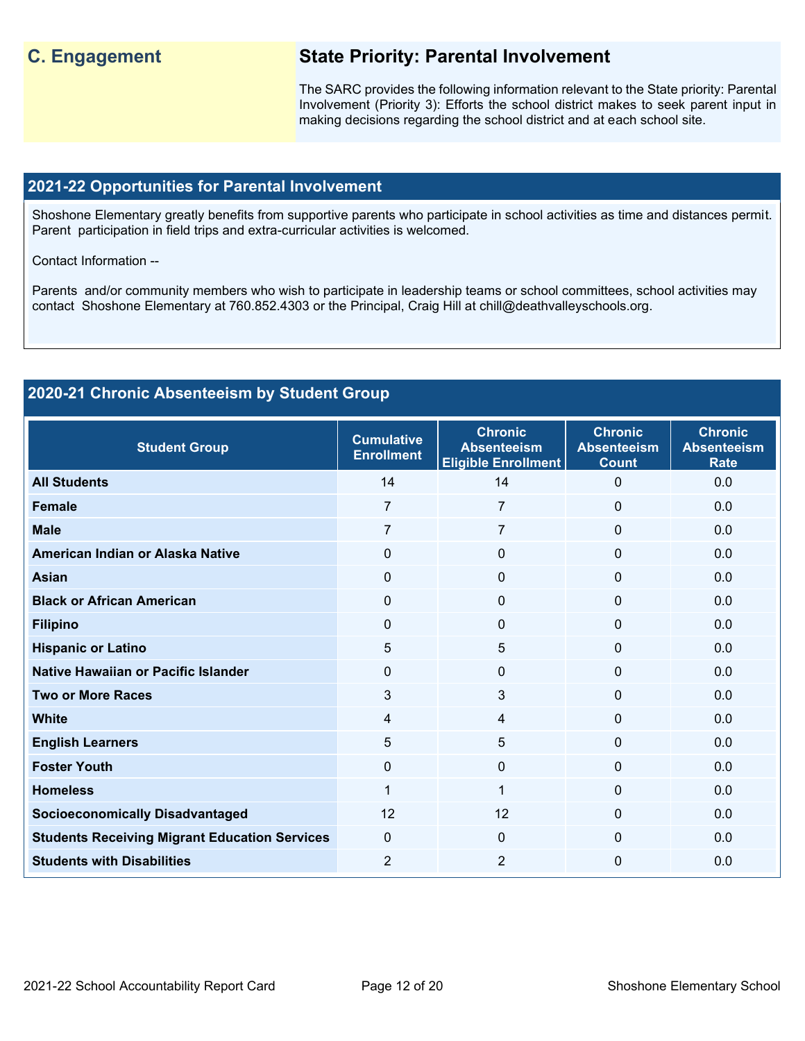## **C. Engagement State Priority: Parental Involvement**

The SARC provides the following information relevant to the State priority: Parental Involvement (Priority 3): Efforts the school district makes to seek parent input in making decisions regarding the school district and at each school site.

### **2021-22 Opportunities for Parental Involvement**

Shoshone Elementary greatly benefits from supportive parents who participate in school activities as time and distances permit. Parent participation in field trips and extra-curricular activities is welcomed.

Contact Information --

Parents and/or community members who wish to participate in leadership teams or school committees, school activities may contact Shoshone Elementary at 760.852.4303 or the Principal, Craig Hill at chill@deathvalleyschools.org.

## **2020-21 Chronic Absenteeism by Student Group**

| <b>Student Group</b>                                 | <b>Cumulative</b><br><b>Enrollment</b> | <b>Chronic</b><br><b>Absenteeism</b><br><b>Eligible Enrollment</b> | <b>Chronic</b><br><b>Absenteeism</b><br><b>Count</b> | <b>Chronic</b><br><b>Absenteeism</b><br><b>Rate</b> |
|------------------------------------------------------|----------------------------------------|--------------------------------------------------------------------|------------------------------------------------------|-----------------------------------------------------|
| <b>All Students</b>                                  | 14                                     | 14                                                                 | $\Omega$                                             | 0.0                                                 |
| <b>Female</b>                                        | $\overline{7}$                         | $\overline{7}$                                                     | $\Omega$                                             | 0.0                                                 |
| <b>Male</b>                                          | $\overline{7}$                         | 7                                                                  | $\Omega$                                             | 0.0                                                 |
| American Indian or Alaska Native                     | $\Omega$                               | $\Omega$                                                           | $\Omega$                                             | 0.0                                                 |
| <b>Asian</b>                                         | $\mathbf{0}$                           | $\mathbf{0}$                                                       | $\mathbf{0}$                                         | 0.0                                                 |
| <b>Black or African American</b>                     | $\mathbf{0}$                           | 0                                                                  | 0                                                    | 0.0                                                 |
| <b>Filipino</b>                                      | 0                                      | 0                                                                  | 0                                                    | 0.0                                                 |
| <b>Hispanic or Latino</b>                            | 5                                      | 5                                                                  | $\mathbf{0}$                                         | 0.0                                                 |
| Native Hawaiian or Pacific Islander                  | $\mathbf{0}$                           | $\Omega$                                                           | $\Omega$                                             | 0.0                                                 |
| <b>Two or More Races</b>                             | 3                                      | 3                                                                  | $\Omega$                                             | 0.0                                                 |
| <b>White</b>                                         | $\overline{4}$                         | 4                                                                  | $\Omega$                                             | 0.0                                                 |
| <b>English Learners</b>                              | 5                                      | 5                                                                  | $\Omega$                                             | 0.0                                                 |
| <b>Foster Youth</b>                                  | $\mathbf{0}$                           | $\Omega$                                                           | $\Omega$                                             | 0.0                                                 |
| <b>Homeless</b>                                      | 1                                      | 1                                                                  | 0                                                    | 0.0                                                 |
| <b>Socioeconomically Disadvantaged</b>               | 12                                     | 12                                                                 | 0                                                    | 0.0                                                 |
| <b>Students Receiving Migrant Education Services</b> | $\mathbf{0}$                           | $\Omega$                                                           | $\Omega$                                             | 0.0                                                 |
| <b>Students with Disabilities</b>                    | $\overline{2}$                         | $\overline{2}$                                                     | $\Omega$                                             | 0.0                                                 |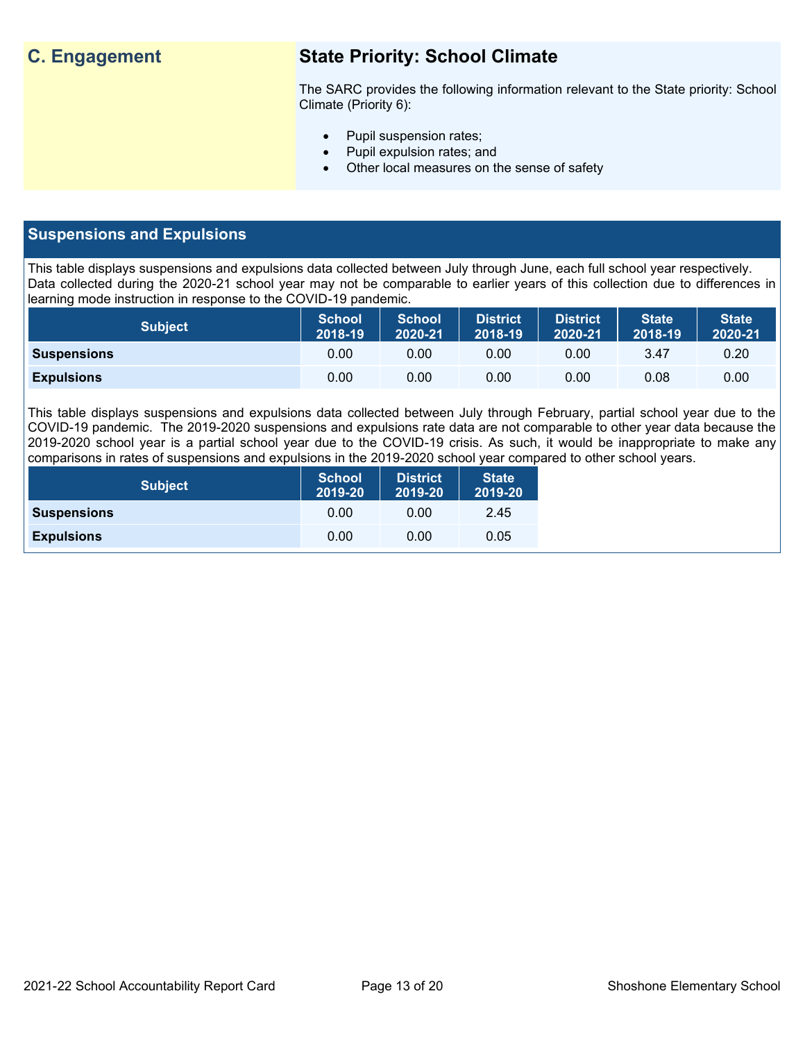## **C. Engagement State Priority: School Climate**

The SARC provides the following information relevant to the State priority: School Climate (Priority 6):

- Pupil suspension rates;
- Pupil expulsion rates; and
- Other local measures on the sense of safety

## **Suspensions and Expulsions**

This table displays suspensions and expulsions data collected between July through June, each full school year respectively. Data collected during the 2020-21 school year may not be comparable to earlier years of this collection due to differences in learning mode instruction in response to the COVID-19 pandemic.

| <b>Subject</b>     | <b>School</b><br>2018-19 | <b>School</b><br>2020-21 | <b>District</b><br>2018-19 | <b>District</b><br>2020-21 | <b>State</b><br>2018-19 | <b>State</b><br>2020-21 |
|--------------------|--------------------------|--------------------------|----------------------------|----------------------------|-------------------------|-------------------------|
| <b>Suspensions</b> | 0.00                     | 0.00                     | 0.00                       | 0.00                       | 3.47                    | 0.20                    |
| <b>Expulsions</b>  | 0.00                     | 0.00                     | 0.00                       | 0.00                       | 0.08                    | 0.00                    |

This table displays suspensions and expulsions data collected between July through February, partial school year due to the COVID-19 pandemic. The 2019-2020 suspensions and expulsions rate data are not comparable to other year data because the 2019-2020 school year is a partial school year due to the COVID-19 crisis. As such, it would be inappropriate to make any comparisons in rates of suspensions and expulsions in the 2019-2020 school year compared to other school years.

| <b>Subject</b>     | <b>School</b><br>2019-20 | <b>District</b><br>2019-20 | <b>State</b><br>2019-20 |
|--------------------|--------------------------|----------------------------|-------------------------|
| <b>Suspensions</b> | 0.00                     | 0.00                       | 2.45                    |
| <b>Expulsions</b>  | 0.00                     | 0.00                       | 0.05                    |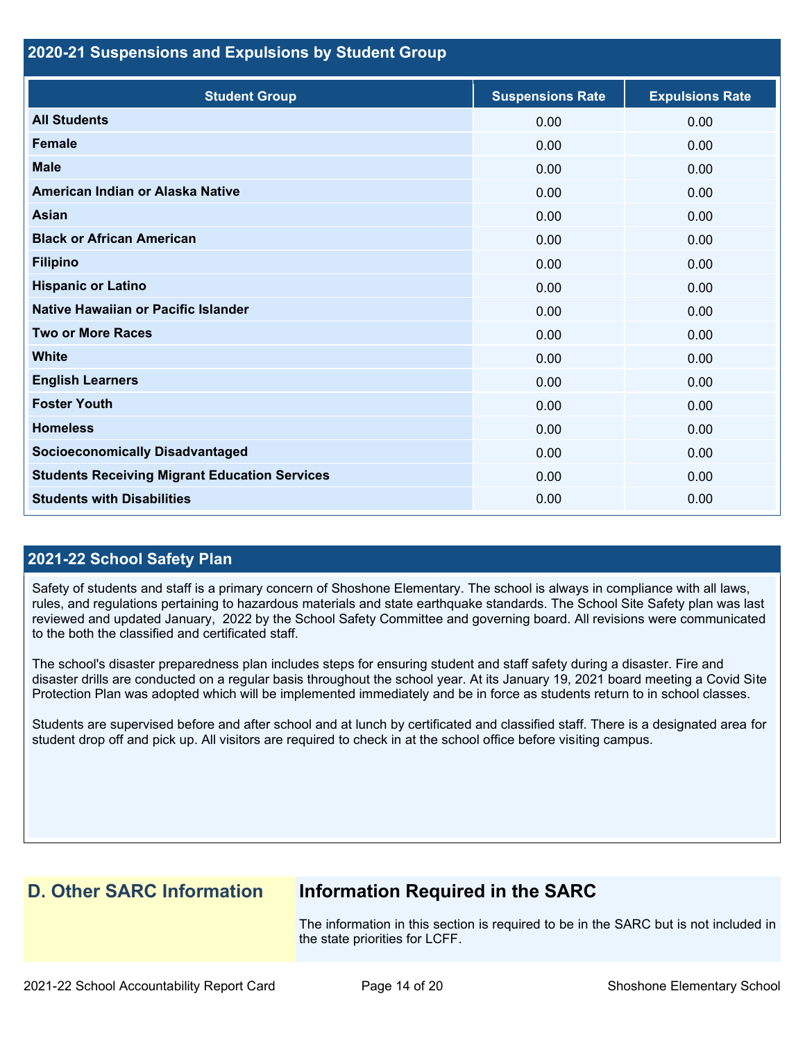### **2020-21 Suspensions and Expulsions by Student Group**

| <b>Student Group</b>                                 | <b>Suspensions Rate</b> | <b>Expulsions Rate</b> |
|------------------------------------------------------|-------------------------|------------------------|
| <b>All Students</b>                                  | 0.00                    | 0.00                   |
| <b>Female</b>                                        | 0.00                    | 0.00                   |
| <b>Male</b>                                          | 0.00                    | 0.00                   |
| American Indian or Alaska Native                     | 0.00                    | 0.00                   |
| <b>Asian</b>                                         | 0.00                    | 0.00                   |
| <b>Black or African American</b>                     | 0.00                    | 0.00                   |
| <b>Filipino</b>                                      | 0.00                    | 0.00                   |
| <b>Hispanic or Latino</b>                            | 0.00                    | 0.00                   |
| Native Hawaiian or Pacific Islander                  | 0.00                    | 0.00                   |
| <b>Two or More Races</b>                             | 0.00                    | 0.00                   |
| <b>White</b>                                         | 0.00                    | 0.00                   |
| <b>English Learners</b>                              | 0.00                    | 0.00                   |
| <b>Foster Youth</b>                                  | 0.00                    | 0.00                   |
| <b>Homeless</b>                                      | 0.00                    | 0.00                   |
| <b>Socioeconomically Disadvantaged</b>               | 0.00                    | 0.00                   |
| <b>Students Receiving Migrant Education Services</b> | 0.00                    | 0.00                   |
| <b>Students with Disabilities</b>                    | 0.00                    | 0.00                   |

## **2021-22 School Safety Plan**

Safety of students and staff is a primary concern of Shoshone Elementary. The school is always in compliance with all laws, rules, and regulations pertaining to hazardous materials and state earthquake standards. The School Site Safety plan was last reviewed and updated January, 2022 by the School Safety Committee and governing board. All revisions were communicated to the both the classified and certificated staff.

The school's disaster preparedness plan includes steps for ensuring student and staff safety during a disaster. Fire and disaster drills are conducted on a regular basis throughout the school year. At its January 19, 2021 board meeting a Covid Site Protection Plan was adopted which will be implemented immediately and be in force as students return to in school classes.

Students are supervised before and after school and at lunch by certificated and classified staff. There is a designated area for student drop off and pick up. All visitors are required to check in at the school office before visiting campus.

## **D. Other SARC Information Information Required in the SARC**

The information in this section is required to be in the SARC but is not included in the state priorities for LCFF.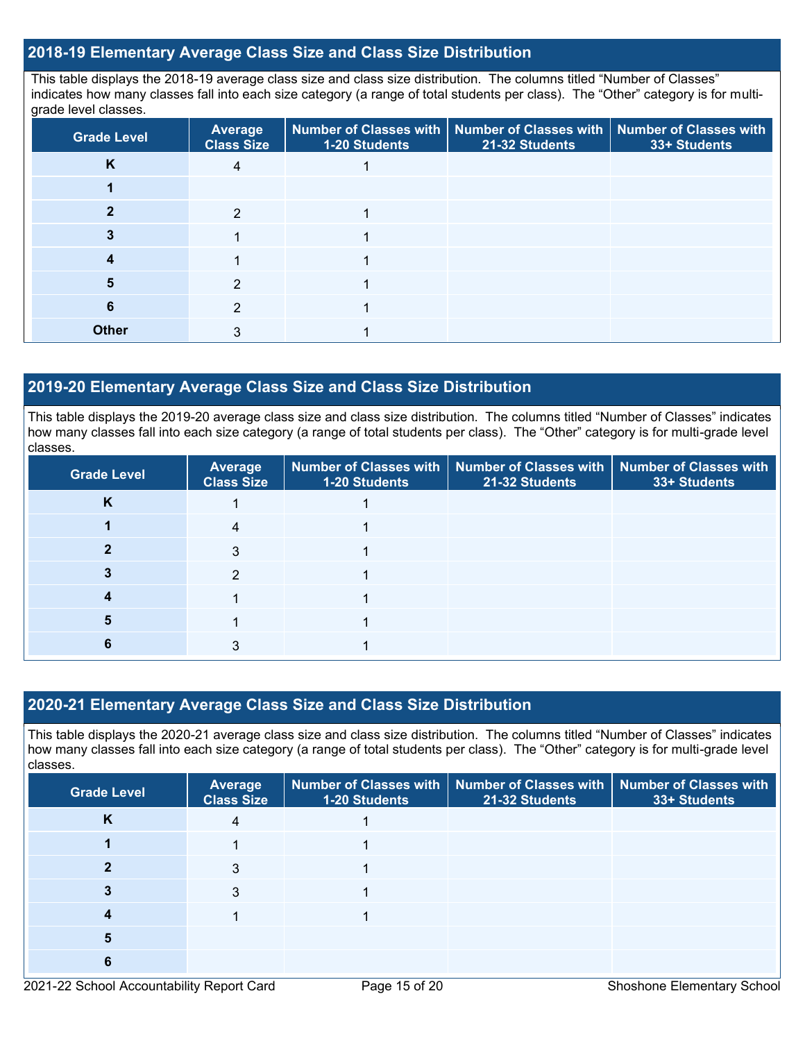## **2018-19 Elementary Average Class Size and Class Size Distribution**

This table displays the 2018-19 average class size and class size distribution. The columns titled "Number of Classes" indicates how many classes fall into each size category (a range of total students per class). The "Other" category is for multigrade level classes.

| <b>Grade Level</b> | Average<br><b>Class Size</b> | 1-20 Students | Number of Classes with   Number of Classes with   Number of Classes with<br>21-32 Students | 33+ Students |
|--------------------|------------------------------|---------------|--------------------------------------------------------------------------------------------|--------------|
| K                  | 4                            |               |                                                                                            |              |
|                    |                              |               |                                                                                            |              |
|                    | 2                            |               |                                                                                            |              |
|                    |                              |               |                                                                                            |              |
|                    |                              |               |                                                                                            |              |
|                    | 2                            |               |                                                                                            |              |
| 6                  | 2                            |               |                                                                                            |              |
| <b>Other</b>       | 3                            |               |                                                                                            |              |

## **2019-20 Elementary Average Class Size and Class Size Distribution**

This table displays the 2019-20 average class size and class size distribution. The columns titled "Number of Classes" indicates how many classes fall into each size category (a range of total students per class). The "Other" category is for multi-grade level classes.

| <b>Grade Level</b> | Average<br><b>Class Size</b> | 1-20 Students | Number of Classes with   Number of Classes with   Number of Classes with<br>21-32 Students | 33+ Students |
|--------------------|------------------------------|---------------|--------------------------------------------------------------------------------------------|--------------|
| N                  |                              |               |                                                                                            |              |
|                    | 4                            |               |                                                                                            |              |
|                    | 3                            |               |                                                                                            |              |
|                    | 2                            |               |                                                                                            |              |
|                    |                              |               |                                                                                            |              |
|                    |                              |               |                                                                                            |              |
|                    |                              |               |                                                                                            |              |

## **2020-21 Elementary Average Class Size and Class Size Distribution**

This table displays the 2020-21 average class size and class size distribution. The columns titled "Number of Classes" indicates how many classes fall into each size category (a range of total students per class). The "Other" category is for multi-grade level classes.

| <b>Grade Level</b> | <b>Average</b><br><b>Class Size</b> | 1-20 Students | Number of Classes with   Number of Classes with<br>21-32 Students | <b>Number of Classes with</b><br>33+ Students |
|--------------------|-------------------------------------|---------------|-------------------------------------------------------------------|-----------------------------------------------|
| <b>N</b>           | 4                                   |               |                                                                   |                                               |
|                    |                                     |               |                                                                   |                                               |
|                    | 3                                   |               |                                                                   |                                               |
|                    | 3                                   |               |                                                                   |                                               |
|                    |                                     |               |                                                                   |                                               |
|                    |                                     |               |                                                                   |                                               |
| 6                  |                                     |               |                                                                   |                                               |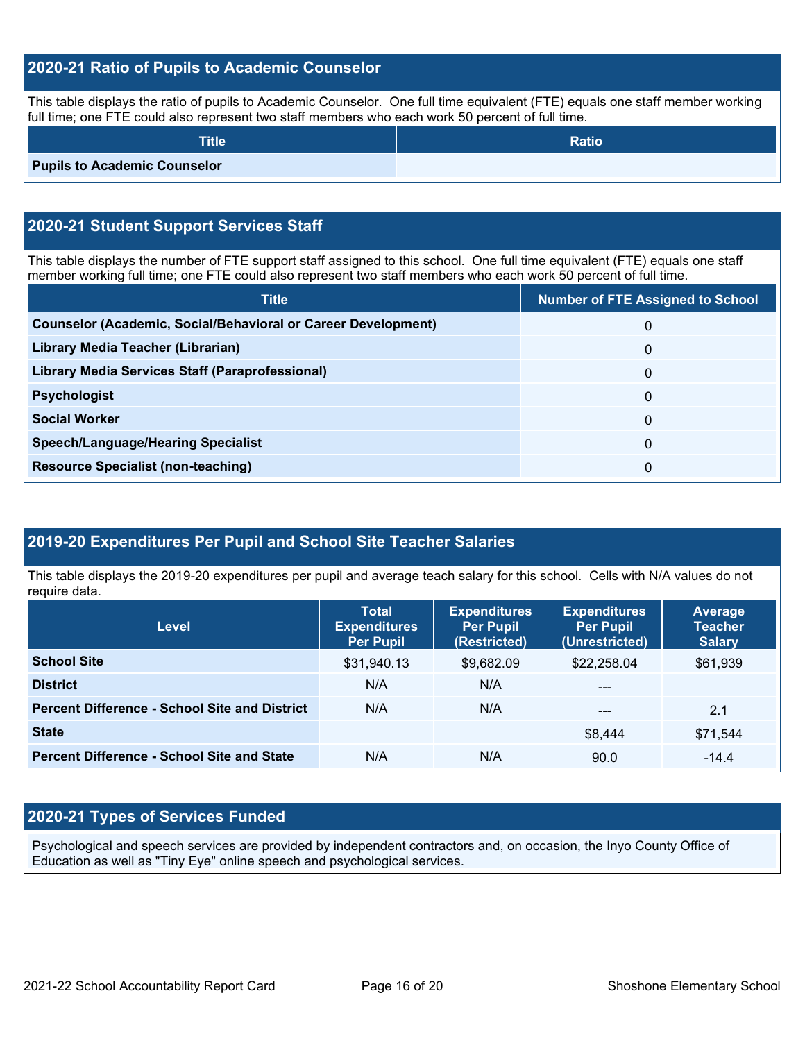## **2020-21 Ratio of Pupils to Academic Counselor**

This table displays the ratio of pupils to Academic Counselor. One full time equivalent (FTE) equals one staff member working full time; one FTE could also represent two staff members who each work 50 percent of full time.

| <b>Title</b>                        | <b>Ratio</b> |
|-------------------------------------|--------------|
| <b>Pupils to Academic Counselor</b> |              |

## **2020-21 Student Support Services Staff**

This table displays the number of FTE support staff assigned to this school. One full time equivalent (FTE) equals one staff member working full time; one FTE could also represent two staff members who each work 50 percent of full time.

| <b>Title</b>                                                         | <b>Number of FTE Assigned to School</b> |
|----------------------------------------------------------------------|-----------------------------------------|
| <b>Counselor (Academic, Social/Behavioral or Career Development)</b> | 0                                       |
| Library Media Teacher (Librarian)                                    | 0                                       |
| <b>Library Media Services Staff (Paraprofessional)</b>               | 0                                       |
| <b>Psychologist</b>                                                  | 0                                       |
| <b>Social Worker</b>                                                 | 0                                       |
| <b>Speech/Language/Hearing Specialist</b>                            | $\mathbf{0}$                            |
| <b>Resource Specialist (non-teaching)</b>                            | 0                                       |

## **2019-20 Expenditures Per Pupil and School Site Teacher Salaries**

This table displays the 2019-20 expenditures per pupil and average teach salary for this school. Cells with N/A values do not require data.

| Level                                                | <b>Total</b><br><b>Expenditures</b><br><b>Per Pupil</b> | <b>Expenditures</b><br><b>Per Pupil</b><br>(Restricted) |             | <b>Average</b><br><b>Teacher</b><br><b>Salary</b> |  |
|------------------------------------------------------|---------------------------------------------------------|---------------------------------------------------------|-------------|---------------------------------------------------|--|
| <b>School Site</b>                                   | \$31,940.13                                             | \$9,682.09                                              | \$22,258.04 | \$61,939                                          |  |
| <b>District</b>                                      | N/A                                                     | N/A                                                     | $---$       |                                                   |  |
| <b>Percent Difference - School Site and District</b> | N/A                                                     | N/A                                                     | $---$       | 2.1                                               |  |
| <b>State</b>                                         |                                                         |                                                         | \$8,444     | \$71,544                                          |  |
| <b>Percent Difference - School Site and State</b>    | N/A                                                     | N/A                                                     | 90.0        | $-14.4$                                           |  |

## **2020-21 Types of Services Funded**

Psychological and speech services are provided by independent contractors and, on occasion, the Inyo County Office of Education as well as "Tiny Eye" online speech and psychological services.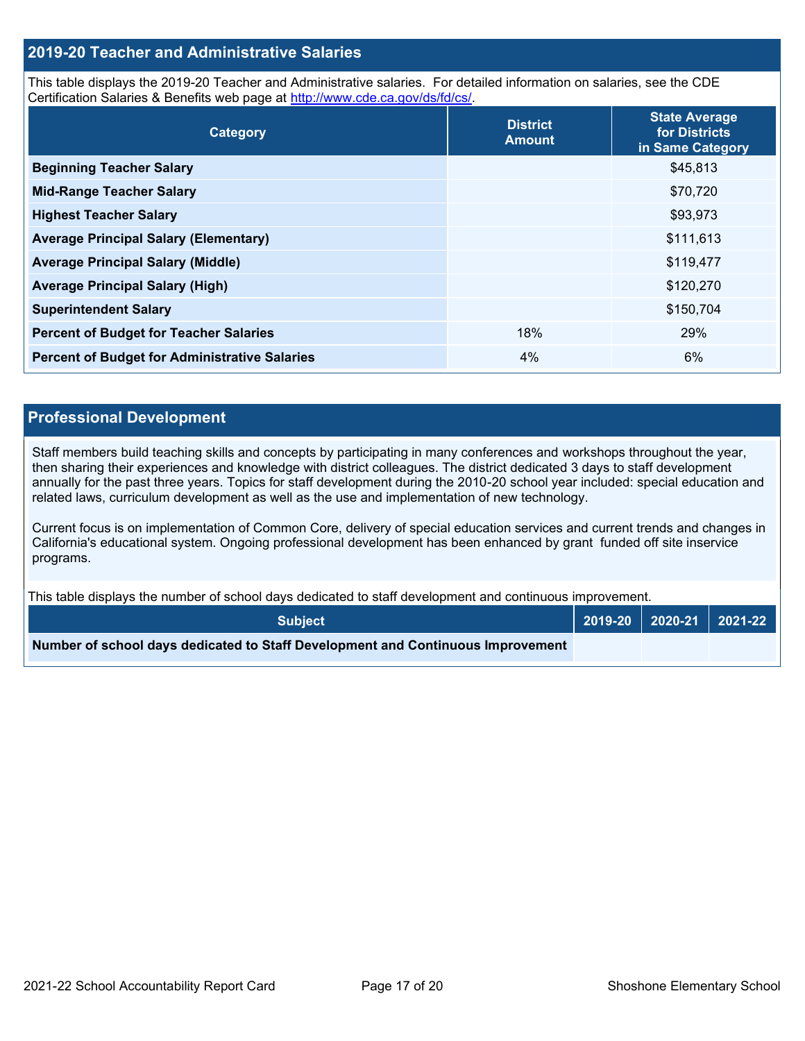## **2019-20 Teacher and Administrative Salaries**

This table displays the 2019-20 Teacher and Administrative salaries. For detailed information on salaries, see the CDE Certification Salaries & Benefits web page at [http://www.cde.ca.gov/ds/fd/cs/.](http://www.cde.ca.gov/ds/fd/cs/)

| Category                                             | <b>District</b><br><b>Amount</b> | <b>State Average</b><br>for Districts<br>in Same Category |
|------------------------------------------------------|----------------------------------|-----------------------------------------------------------|
| <b>Beginning Teacher Salary</b>                      |                                  | \$45,813                                                  |
| <b>Mid-Range Teacher Salary</b>                      |                                  | \$70,720                                                  |
| <b>Highest Teacher Salary</b>                        |                                  | \$93,973                                                  |
| <b>Average Principal Salary (Elementary)</b>         |                                  | \$111,613                                                 |
| <b>Average Principal Salary (Middle)</b>             |                                  | \$119,477                                                 |
| <b>Average Principal Salary (High)</b>               |                                  | \$120,270                                                 |
| <b>Superintendent Salary</b>                         |                                  | \$150,704                                                 |
| <b>Percent of Budget for Teacher Salaries</b>        | 18%                              | 29%                                                       |
| <b>Percent of Budget for Administrative Salaries</b> | 4%                               | 6%                                                        |

### **Professional Development**

Staff members build teaching skills and concepts by participating in many conferences and workshops throughout the year, then sharing their experiences and knowledge with district colleagues. The district dedicated 3 days to staff development annually for the past three years. Topics for staff development during the 2010-20 school year included: special education and related laws, curriculum development as well as the use and implementation of new technology.

Current focus is on implementation of Common Core, delivery of special education services and current trends and changes in California's educational system. Ongoing professional development has been enhanced by grant funded off site inservice programs.

This table displays the number of school days dedicated to staff development and continuous improvement.

| <b>Subject</b>                                                                  |  |  |
|---------------------------------------------------------------------------------|--|--|
| Number of school days dedicated to Staff Development and Continuous Improvement |  |  |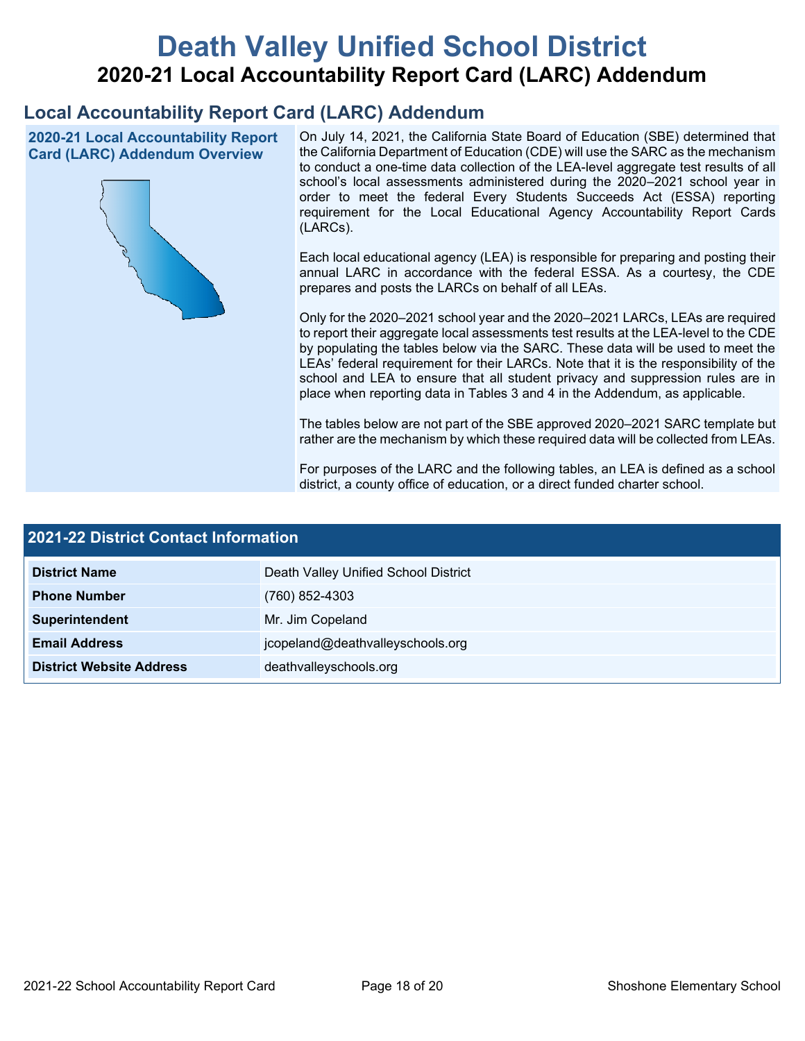# **Death Valley Unified School District 2020-21 Local Accountability Report Card (LARC) Addendum**

## **Local Accountability Report Card (LARC) Addendum**

**2020-21 Local Accountability Report Card (LARC) Addendum Overview**



On July 14, 2021, the California State Board of Education (SBE) determined that the California Department of Education (CDE) will use the SARC as the mechanism to conduct a one-time data collection of the LEA-level aggregate test results of all school's local assessments administered during the 2020–2021 school year in order to meet the federal Every Students Succeeds Act (ESSA) reporting requirement for the Local Educational Agency Accountability Report Cards (LARCs).

Each local educational agency (LEA) is responsible for preparing and posting their annual LARC in accordance with the federal ESSA. As a courtesy, the CDE prepares and posts the LARCs on behalf of all LEAs.

Only for the 2020–2021 school year and the 2020–2021 LARCs, LEAs are required to report their aggregate local assessments test results at the LEA-level to the CDE by populating the tables below via the SARC. These data will be used to meet the LEAs' federal requirement for their LARCs. Note that it is the responsibility of the school and LEA to ensure that all student privacy and suppression rules are in place when reporting data in Tables 3 and 4 in the Addendum, as applicable.

The tables below are not part of the SBE approved 2020–2021 SARC template but rather are the mechanism by which these required data will be collected from LEAs.

For purposes of the LARC and the following tables, an LEA is defined as a school district, a county office of education, or a direct funded charter school.

| <b>2021-22 District Contact Information</b> |                                      |  |  |  |
|---------------------------------------------|--------------------------------------|--|--|--|
| <b>District Name</b>                        | Death Valley Unified School District |  |  |  |
| <b>Phone Number</b>                         | $(760)$ 852-4303                     |  |  |  |
| Superintendent                              | Mr. Jim Copeland                     |  |  |  |
| <b>Email Address</b>                        | jcopeland@deathvalleyschools.org     |  |  |  |
| <b>District Website Address</b>             | deathvalleyschools.org               |  |  |  |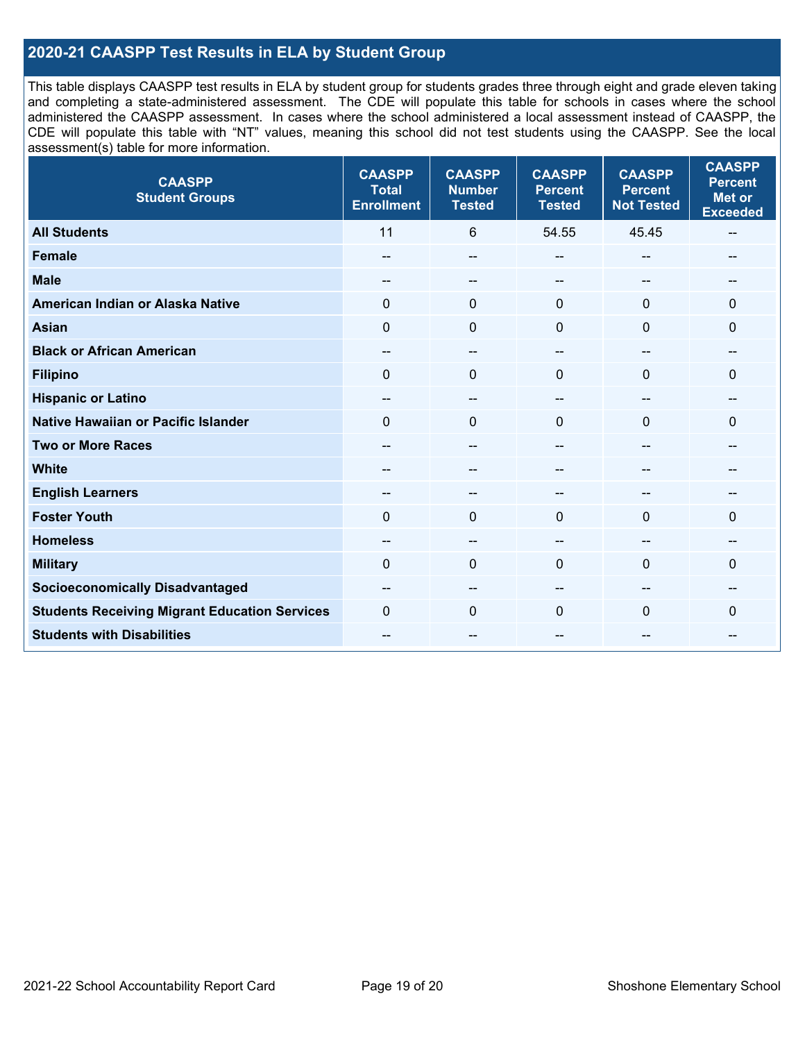## **2020-21 CAASPP Test Results in ELA by Student Group**

This table displays CAASPP test results in ELA by student group for students grades three through eight and grade eleven taking and completing a state-administered assessment. The CDE will populate this table for schools in cases where the school administered the CAASPP assessment. In cases where the school administered a local assessment instead of CAASPP, the CDE will populate this table with "NT" values, meaning this school did not test students using the CAASPP. See the local assessment(s) table for more information.

| <b>CAASPP</b><br><b>Student Groups</b>               | <b>CAASPP</b><br><b>Total</b><br><b>Enrollment</b> | <b>CAASPP</b><br><b>Number</b><br><b>Tested</b> | <b>CAASPP</b><br><b>Percent</b><br><b>Tested</b> | <b>CAASPP</b><br><b>Percent</b><br><b>Not Tested</b> | <b>CAASPP</b><br><b>Percent</b><br><b>Met or</b><br><b>Exceeded</b> |
|------------------------------------------------------|----------------------------------------------------|-------------------------------------------------|--------------------------------------------------|------------------------------------------------------|---------------------------------------------------------------------|
| <b>All Students</b>                                  | 11                                                 | 6                                               | 54.55                                            | 45.45                                                | $\overline{\phantom{a}}$                                            |
| <b>Female</b>                                        | --                                                 | --                                              | --                                               | --                                                   | --                                                                  |
| <b>Male</b>                                          | --                                                 | $\overline{\phantom{m}}$                        | --                                               | --                                                   | --                                                                  |
| American Indian or Alaska Native                     | 0                                                  | $\pmb{0}$                                       | $\mathbf 0$                                      | $\mathbf{0}$                                         | $\mathbf 0$                                                         |
| <b>Asian</b>                                         | $\mathbf 0$                                        | $\mathbf 0$                                     | $\mathbf{0}$                                     | $\Omega$                                             | $\mathbf{0}$                                                        |
| <b>Black or African American</b>                     | $\overline{\phantom{a}}$                           | $\overline{\phantom{a}}$                        | --                                               | $\overline{\phantom{a}}$                             | --                                                                  |
| <b>Filipino</b>                                      | $\mathbf 0$                                        | $\mathbf{0}$                                    | $\Omega$                                         | $\Omega$                                             | $\mathbf 0$                                                         |
| <b>Hispanic or Latino</b>                            | --                                                 | $\overline{\phantom{a}}$                        | --                                               | $\sim$                                               | --                                                                  |
| <b>Native Hawaiian or Pacific Islander</b>           | $\Omega$                                           | $\mathbf 0$                                     | $\mathbf{0}$                                     | $\mathbf{0}$                                         | $\mathbf 0$                                                         |
| <b>Two or More Races</b>                             | --                                                 | $-$                                             | --                                               | $-$                                                  | --                                                                  |
| <b>White</b>                                         | $\overline{a}$                                     | --                                              | --                                               | --                                                   | --                                                                  |
| <b>English Learners</b>                              | $- -$                                              | --                                              |                                                  |                                                      | --                                                                  |
| <b>Foster Youth</b>                                  | $\Omega$                                           | $\mathbf 0$                                     | $\mathbf{0}$                                     | $\Omega$                                             | $\mathbf{0}$                                                        |
| <b>Homeless</b>                                      | --                                                 | --                                              | --                                               | --                                                   |                                                                     |
| <b>Military</b>                                      | $\Omega$                                           | $\mathbf 0$                                     | $\mathbf{0}$                                     | 0                                                    | $\Omega$                                                            |
| <b>Socioeconomically Disadvantaged</b>               | --                                                 | --                                              | --                                               |                                                      | --                                                                  |
| <b>Students Receiving Migrant Education Services</b> | $\Omega$                                           | $\mathbf 0$                                     | $\Omega$                                         | $\Omega$                                             | 0                                                                   |
| <b>Students with Disabilities</b>                    | $\overline{a}$                                     | $\overline{\phantom{m}}$                        | --                                               | --                                                   | --                                                                  |